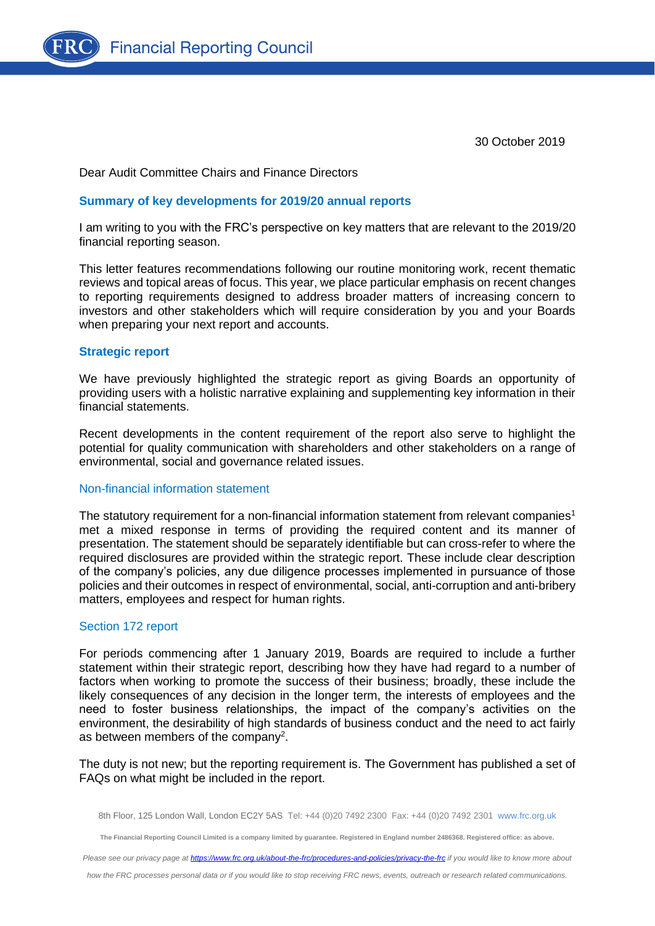

30 October 2019

Dear Audit Committee Chairs and Finance Directors

#### **Summary of key developments for 2019/20 annual reports**

I am writing to you with the FRC's perspective on key matters that are relevant to the 2019/20 financial reporting season.

This letter features recommendations following our routine monitoring work, recent thematic reviews and topical areas of focus. This year, we place particular emphasis on recent changes to reporting requirements designed to address broader matters of increasing concern to investors and other stakeholders which will require consideration by you and your Boards when preparing your next report and accounts.

### **Strategic report**

We have previously highlighted the strategic report as giving Boards an opportunity of providing users with a holistic narrative explaining and supplementing key information in their financial statements.

Recent developments in the content requirement of the report also serve to highlight the potential for quality communication with shareholders and other stakeholders on a range of environmental, social and governance related issues.

### Non-financial information statement

The statutory requirement for a non-financial information statement from relevant companies<sup>1</sup> met a mixed response in terms of providing the required content and its manner of presentation. The statement should be separately identifiable but can cross-refer to where the required disclosures are provided within the strategic report. These include clear description of the company's policies, any due diligence processes implemented in pursuance of those policies and their outcomes in respect of environmental, social, anti-corruption and anti-bribery matters, employees and respect for human rights.

### Section 172 report

For periods commencing after 1 January 2019, Boards are required to include a further statement within their strategic report, describing how they have had regard to a number of factors when working to promote the success of their business; broadly, these include the likely consequences of any decision in the longer term, the interests of employees and the need to foster business relationships, the impact of the company's activities on the environment, the desirability of high standards of business conduct and the need to act fairly as between members of the company<sup>2</sup>.

The duty is not new; but the reporting requirement is. The Government has published a set of FAQs on what might be included in the report.

**The Financial Reporting Council Limited is a company limited by guarantee. Registered in England number 2486368. Registered office: as above.**

*Please see our privacy page a[t https://www.frc.org.uk/about-the-frc/procedures-and-policies/privacy-the-frc](https://protect-eu.mimecast.com/s/meSwCVPQETYrOJIgd9IO) if you would like to know more about* 

*how the FRC processes personal data or if you would like to stop receiving FRC news, events, outreach or research related communications.*

<sup>8</sup>th Floor, 125 London Wall, London EC2Y 5AS Tel: +44 (0)20 7492 2300 Fax: +44 (0)20 7492 2301 [www.frc.org.uk](http://www.frc.org.uk/)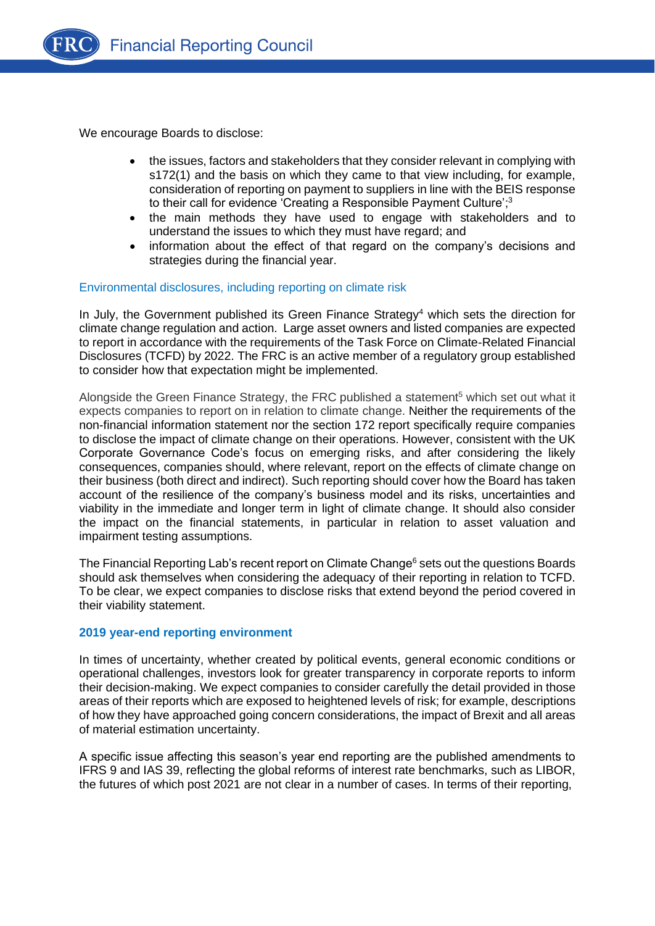

**Financial Reporting Council** 

We encourage Boards to disclose:

- the issues, factors and stakeholders that they consider relevant in complying with s172(1) and the basis on which they came to that view including, for example, consideration of reporting on payment to suppliers in line with the BEIS response to their call for evidence 'Creating a Responsible Payment Culture'; 3
- the main methods they have used to engage with stakeholders and to understand the issues to which they must have regard; and
- information about the effect of that regard on the company's decisions and strategies during the financial year.

## Environmental disclosures, including reporting on climate risk

In July, the Government published its Green Finance Strategy<sup>4</sup> which sets the direction for climate change regulation and action. Large asset owners and listed companies are expected to report in accordance with the requirements of the Task Force on Climate-Related Financial Disclosures (TCFD) by 2022. The FRC is an active member of a regulatory group established to consider how that expectation might be implemented.

Alongside the Green Finance Strategy, the FRC published a statement<sup>5</sup> which set out what it expects companies to report on in relation to climate change. Neither the requirements of the non-financial information statement nor the section 172 report specifically require companies to disclose the impact of climate change on their operations. However, consistent with the UK Corporate Governance Code's focus on emerging risks, and after considering the likely consequences, companies should, where relevant, report on the effects of climate change on their business (both direct and indirect). Such reporting should cover how the Board has taken account of the resilience of the company's business model and its risks, uncertainties and viability in the immediate and longer term in light of climate change. It should also consider the impact on the financial statements, in particular in relation to asset valuation and impairment testing assumptions.

The Financial Reporting Lab's recent report on Climate Change<sup>6</sup> sets out the questions Boards should ask themselves when considering the adequacy of their reporting in relation to TCFD. To be clear, we expect companies to disclose risks that extend beyond the period covered in their viability statement.

### **2019 year-end reporting environment**

In times of uncertainty, whether created by political events, general economic conditions or operational challenges, investors look for greater transparency in corporate reports to inform their decision-making. We expect companies to consider carefully the detail provided in those areas of their reports which are exposed to heightened levels of risk; for example, descriptions of how they have approached going concern considerations, the impact of Brexit and all areas of material estimation uncertainty.

A specific issue affecting this season's year end reporting are the published amendments to IFRS 9 and IAS 39, reflecting the global reforms of interest rate benchmarks, such as LIBOR, the futures of which post 2021 are not clear in a number of cases. In terms of their reporting,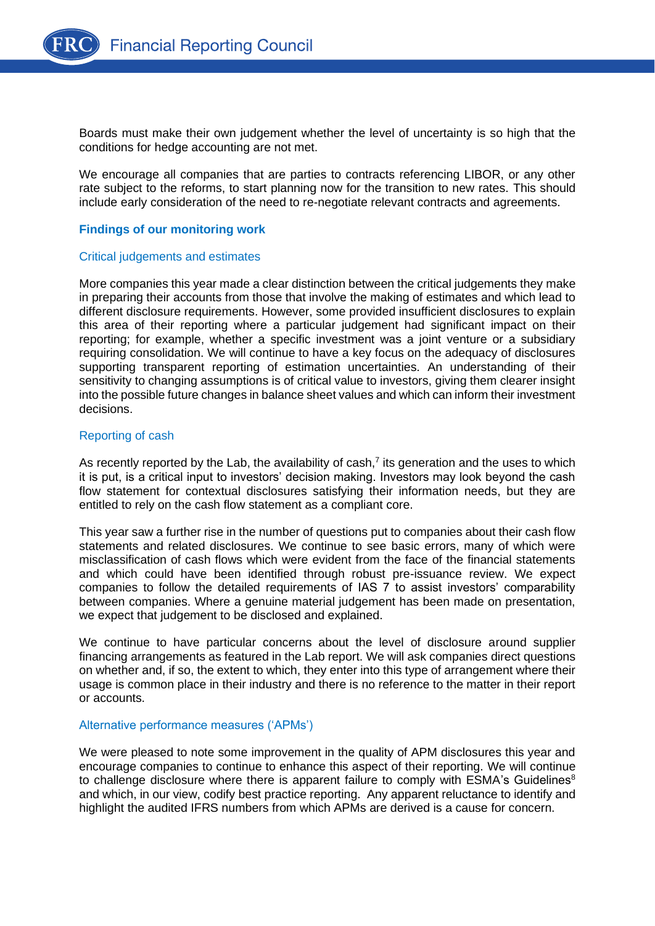

Boards must make their own judgement whether the level of uncertainty is so high that the conditions for hedge accounting are not met.

We encourage all companies that are parties to contracts referencing LIBOR, or any other rate subject to the reforms, to start planning now for the transition to new rates. This should include early consideration of the need to re-negotiate relevant contracts and agreements.

## **Findings of our monitoring work**

#### Critical judgements and estimates

More companies this year made a clear distinction between the critical judgements they make in preparing their accounts from those that involve the making of estimates and which lead to different disclosure requirements. However, some provided insufficient disclosures to explain this area of their reporting where a particular judgement had significant impact on their reporting; for example, whether a specific investment was a joint venture or a subsidiary requiring consolidation. We will continue to have a key focus on the adequacy of disclosures supporting transparent reporting of estimation uncertainties. An understanding of their sensitivity to changing assumptions is of critical value to investors, giving them clearer insight into the possible future changes in balance sheet values and which can inform their investment decisions.

### Reporting of cash

As recently reported by the Lab, the availability of cash, $<sup>7</sup>$  its generation and the uses to which</sup> it is put, is a critical input to investors' decision making. Investors may look beyond the cash flow statement for contextual disclosures satisfying their information needs, but they are entitled to rely on the cash flow statement as a compliant core.

This year saw a further rise in the number of questions put to companies about their cash flow statements and related disclosures. We continue to see basic errors, many of which were misclassification of cash flows which were evident from the face of the financial statements and which could have been identified through robust pre-issuance review. We expect companies to follow the detailed requirements of IAS 7 to assist investors' comparability between companies. Where a genuine material judgement has been made on presentation, we expect that judgement to be disclosed and explained.

We continue to have particular concerns about the level of disclosure around supplier financing arrangements as featured in the Lab report. We will ask companies direct questions on whether and, if so, the extent to which, they enter into this type of arrangement where their usage is common place in their industry and there is no reference to the matter in their report or accounts.

### Alternative performance measures ('APMs')

We were pleased to note some improvement in the quality of APM disclosures this year and encourage companies to continue to enhance this aspect of their reporting. We will continue to challenge disclosure where there is apparent failure to comply with ESMA's Guidelines $8$ and which, in our view, codify best practice reporting. Any apparent reluctance to identify and highlight the audited IFRS numbers from which APMs are derived is a cause for concern.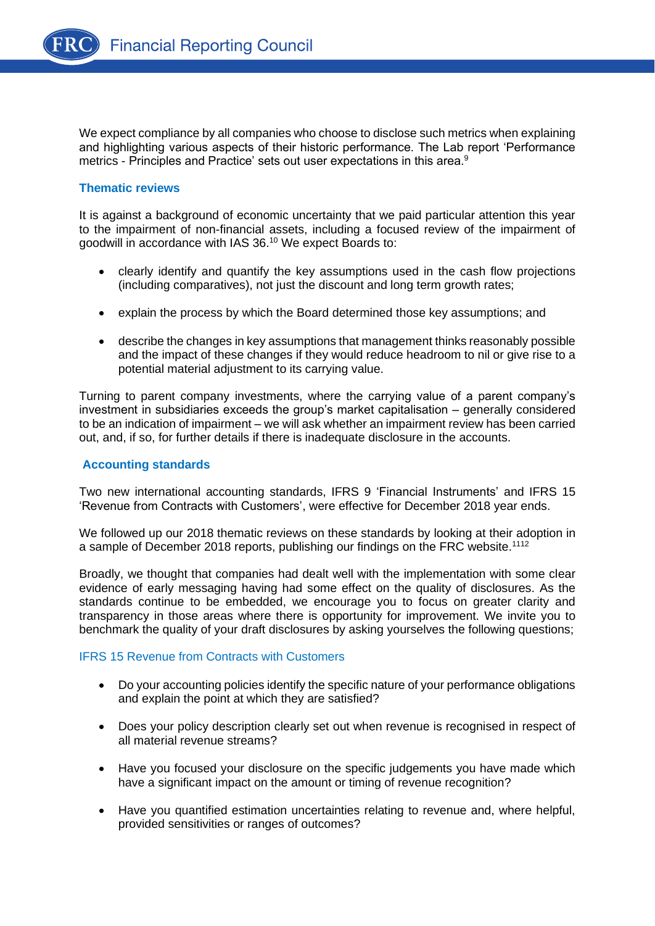We expect compliance by all companies who choose to disclose such metrics when explaining and highlighting various aspects of their historic performance. The Lab report 'Performance metrics - Principles and Practice' sets out user expectations in this area.<sup>9</sup>

# **Thematic reviews**

It is against a background of economic uncertainty that we paid particular attention this year to the impairment of non-financial assets, including a focused review of the impairment of goodwill in accordance with IAS 36.<sup>10</sup> We expect Boards to:

- clearly identify and quantify the key assumptions used in the cash flow projections (including comparatives), not just the discount and long term growth rates;
- explain the process by which the Board determined those key assumptions; and
- describe the changes in key assumptions that management thinks reasonably possible and the impact of these changes if they would reduce headroom to nil or give rise to a potential material adjustment to its carrying value.

Turning to parent company investments, where the carrying value of a parent company's investment in subsidiaries exceeds the group's market capitalisation – generally considered to be an indication of impairment – we will ask whether an impairment review has been carried out, and, if so, for further details if there is inadequate disclosure in the accounts.

### **Accounting standards**

Two new international accounting standards, IFRS 9 'Financial Instruments' and IFRS 15 'Revenue from Contracts with Customers', were effective for December 2018 year ends.

We followed up our 2018 thematic reviews on these standards by looking at their adoption in a sample of December 2018 reports, publishing our findings on the FRC website.<sup>1112</sup>

Broadly, we thought that companies had dealt well with the implementation with some clear evidence of early messaging having had some effect on the quality of disclosures. As the standards continue to be embedded, we encourage you to focus on greater clarity and transparency in those areas where there is opportunity for improvement. We invite you to benchmark the quality of your draft disclosures by asking yourselves the following questions;

# IFRS 15 Revenue from Contracts with Customers

- Do your accounting policies identify the specific nature of your performance obligations and explain the point at which they are satisfied?
- Does your policy description clearly set out when revenue is recognised in respect of all material revenue streams?
- Have you focused your disclosure on the specific judgements you have made which have a significant impact on the amount or timing of revenue recognition?
- Have you quantified estimation uncertainties relating to revenue and, where helpful, provided sensitivities or ranges of outcomes?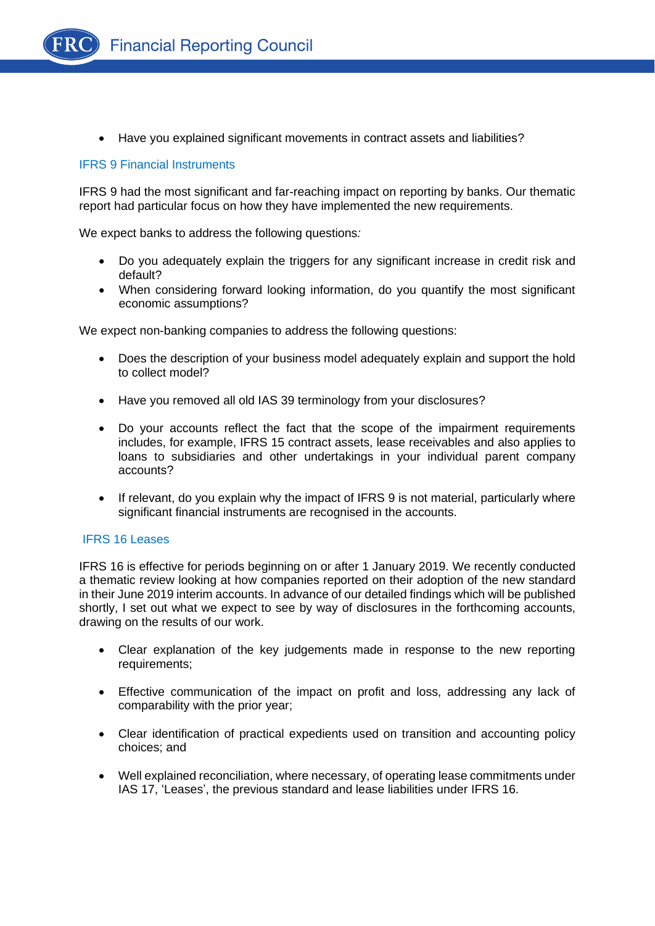

• Have you explained significant movements in contract assets and liabilities?

## IFRS 9 Financial Instruments

IFRS 9 had the most significant and far-reaching impact on reporting by banks. Our thematic report had particular focus on how they have implemented the new requirements.

We expect banks to address the following questions*:*

- Do you adequately explain the triggers for any significant increase in credit risk and default?
- When considering forward looking information, do you quantify the most significant economic assumptions?

We expect non-banking companies to address the following questions:

- Does the description of your business model adequately explain and support the hold to collect model?
- Have you removed all old IAS 39 terminology from your disclosures?
- Do your accounts reflect the fact that the scope of the impairment requirements includes, for example, IFRS 15 contract assets, lease receivables and also applies to loans to subsidiaries and other undertakings in your individual parent company accounts?
- If relevant, do you explain why the impact of IFRS 9 is not material, particularly where significant financial instruments are recognised in the accounts.

### IFRS 16 Leases

IFRS 16 is effective for periods beginning on or after 1 January 2019. We recently conducted a thematic review looking at how companies reported on their adoption of the new standard in their June 2019 interim accounts. In advance of our detailed findings which will be published shortly, I set out what we expect to see by way of disclosures in the forthcoming accounts, drawing on the results of our work.

- Clear explanation of the key judgements made in response to the new reporting requirements;
- Effective communication of the impact on profit and loss, addressing any lack of comparability with the prior year;
- Clear identification of practical expedients used on transition and accounting policy choices; and
- Well explained reconciliation, where necessary, of operating lease commitments under IAS 17, 'Leases', the previous standard and lease liabilities under IFRS 16.